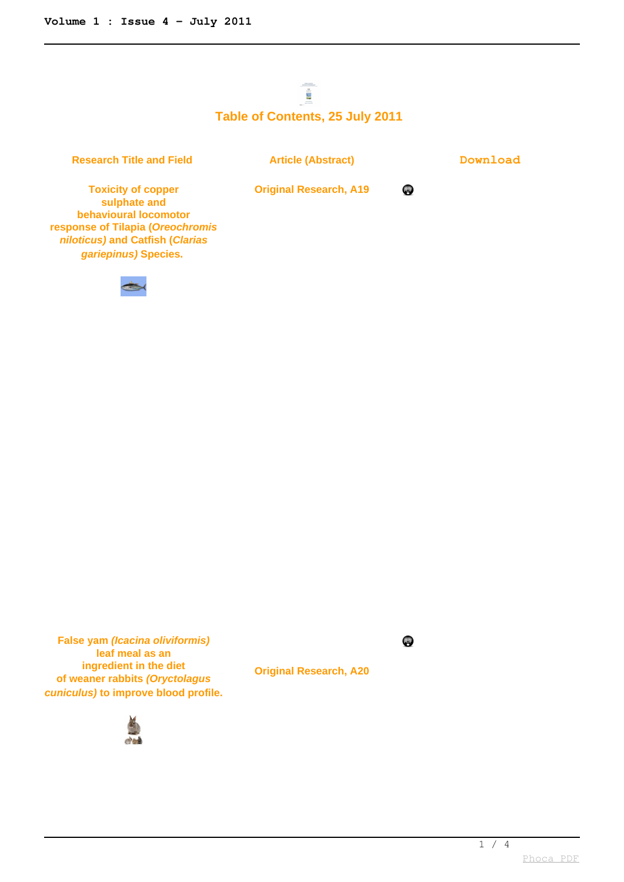## $\frac{1}{2}$ **Table of Contents, 25 July 2011**

**Research Title and Field <b>Article (Abstract) Download** 

**PD** 

**Original Research, A19**

**Toxicity of copper sulphate and behavioural locomotor response of Tilapia (Oreochromis niloticus) and Catfish (Clarias gariepinus) Species.** 



**False yam (Icacina oliviformis) leaf meal as an ingredient in the diet of weaner rabbits (Oryctolagus cuniculus) to improve blood profile.**



**Original Research, A20**



 $1 / 4$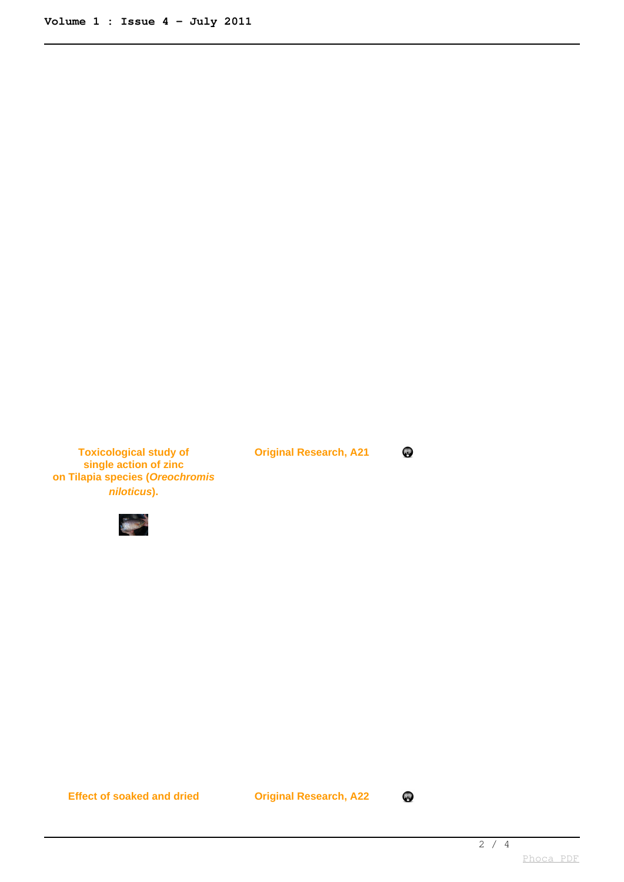**Toxicological study of single action of zinc on Tilapia species (Oreochromis niloticus).**



**Original Research, A21**

**P** 

**Effect of soaked and dried Original Research, A22**

eps